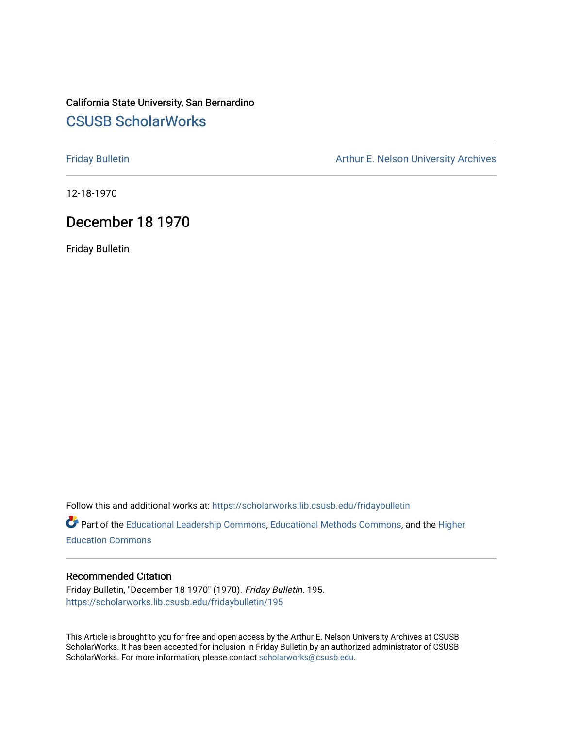### California State University, San Bernardino [CSUSB ScholarWorks](https://scholarworks.lib.csusb.edu/)

[Friday Bulletin](https://scholarworks.lib.csusb.edu/fridaybulletin) **Arthur E. Nelson University Archives** Arthur E. Nelson University Archives

12-18-1970

#### December 18 1970

Friday Bulletin

Follow this and additional works at: [https://scholarworks.lib.csusb.edu/fridaybulletin](https://scholarworks.lib.csusb.edu/fridaybulletin?utm_source=scholarworks.lib.csusb.edu%2Ffridaybulletin%2F195&utm_medium=PDF&utm_campaign=PDFCoverPages)

Part of the [Educational Leadership Commons,](http://network.bepress.com/hgg/discipline/1230?utm_source=scholarworks.lib.csusb.edu%2Ffridaybulletin%2F195&utm_medium=PDF&utm_campaign=PDFCoverPages) [Educational Methods Commons,](http://network.bepress.com/hgg/discipline/1227?utm_source=scholarworks.lib.csusb.edu%2Ffridaybulletin%2F195&utm_medium=PDF&utm_campaign=PDFCoverPages) and the [Higher](http://network.bepress.com/hgg/discipline/1245?utm_source=scholarworks.lib.csusb.edu%2Ffridaybulletin%2F195&utm_medium=PDF&utm_campaign=PDFCoverPages) [Education Commons](http://network.bepress.com/hgg/discipline/1245?utm_source=scholarworks.lib.csusb.edu%2Ffridaybulletin%2F195&utm_medium=PDF&utm_campaign=PDFCoverPages) 

#### Recommended Citation

Friday Bulletin, "December 18 1970" (1970). Friday Bulletin. 195. [https://scholarworks.lib.csusb.edu/fridaybulletin/195](https://scholarworks.lib.csusb.edu/fridaybulletin/195?utm_source=scholarworks.lib.csusb.edu%2Ffridaybulletin%2F195&utm_medium=PDF&utm_campaign=PDFCoverPages)

This Article is brought to you for free and open access by the Arthur E. Nelson University Archives at CSUSB ScholarWorks. It has been accepted for inclusion in Friday Bulletin by an authorized administrator of CSUSB ScholarWorks. For more information, please contact [scholarworks@csusb.edu.](mailto:scholarworks@csusb.edu)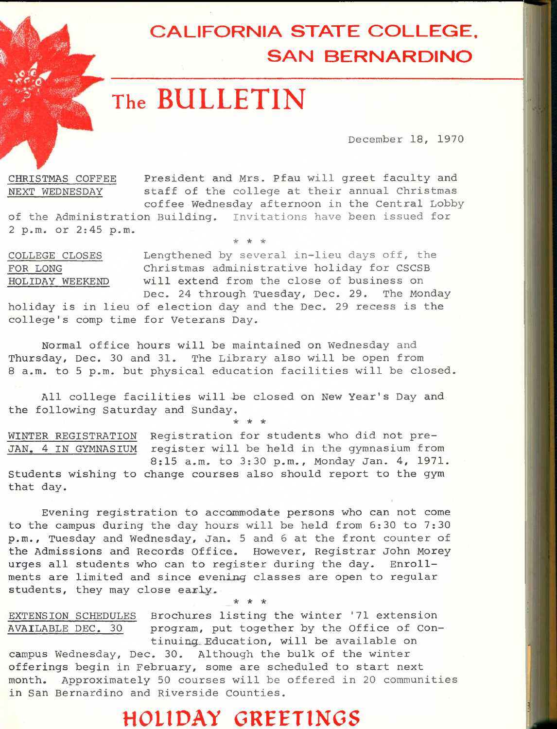# **CALIFORNIA STATE COLLEGE. SAN BERNARDINO**

# **The BULLETIN**

December 18, 1970

CHRISTMAS COFFEE President and Mrs. Pfau will greet faculty and NEXT WEDNESDAY staff of the college at their annual Christmas coffee Wednesday afternoon in the Central Lobby

of the Administration Building. Invitations have been issued for 2 p.m. or 2:45 p.m.

*"k "k ic* 

COLLEGE CLOSES Lengthened by several in-lieu days off, the FOR LONG Christmas administrative holiday for CSCSB HOLIDAY WEEKEND will extend from the close of business on

Dec. 24 through Tuesday, Dec. 29. The Monday holiday is in lieu of election day and the Dec. 29 recess is the college's comp time for Vetexans Day.

Normal office hours will be maintained on Wednesday and Thursday, Dec. 30 and 31. The Library also will be open from 8 a.m. to 5 p.m. but physical education facilities will be closed.

All college facilities will be closed on New Year's Day and the following Saturday and Sunday, **\* \* \*** 

WINTER REGISTRATION Registration for students who did not pre-JAN. 4 IN GYMNASIUM register will be held in the gymnasium from 8:15 a.m. to 3:30 p.m., Monday Jan. 4, 1971. Students wishing to change courses also should report to the gym that day.

Evening registration to accommodate persons who can not come to the campus during the day hours will be held from 5:30 to 7:30 p.m., Tuesday and Wednesday, Jan. 5 and 6 at the front counter of the Admissions and Records Office. However, Registrar John Morey urges all students who can to register during the day. Enrollments are limited and since evening classes are open to regular students, they may close early. **\* \* \*** 

EXTENSION SCHEDULES Brochures listing the winter '71 extension AVAILABLE DEC. 30 program, put together by the Office of Continuing.. Education, will be available on

campus Wednesday, Dec. 30. Although the bulk of the winter offerings begin in February, some are scheduled to start next month. Approximately 50 courses will be offered in 20 communities in San Bernardino and Riverside Counties.

## **HOLIDAY GREETINGS**